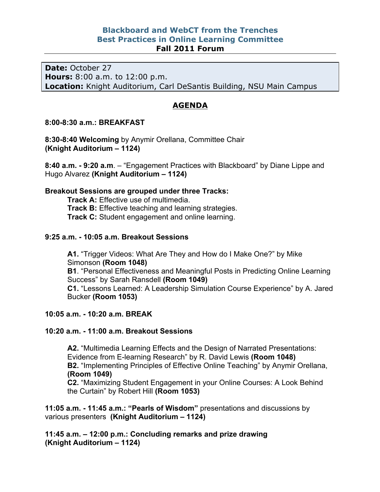## **Blackboard and WebCT from the Trenches Best Practices in Online Learning Committee Fall 2011 Forum**

**Date:** October 27 **Hours:** 8:00 a.m. to 12:00 p.m. **Location:** Knight Auditorium, Carl DeSantis Building, NSU Main Campus

# **AGENDA**

### **8:00-8:30 a.m.: BREAKFAST**

**8:30-8:40 Welcoming** by Anymir Orellana, Committee Chair **(Knight Auditorium – 1124)**

**8:40 a.m. - 9:20 a.m**. – "Engagement Practices with Blackboard" by Diane Lippe and Hugo Alvarez **(Knight Auditorium – 1124)**

## **Breakout Sessions are grouped under three Tracks:**

**Track A:** Effective use of multimedia. **Track B:** Effective teaching and learning strategies. **Track C:** Student engagement and online learning.

### **9:25 a.m. - 10:05 a.m. Breakout Sessions**

**A1.** "Trigger Videos: What Are They and How do I Make One?" by Mike Simonson **(Room 1048) B1**. "Personal Effectiveness and Meaningful Posts in Predicting Online Learning Success" by Sarah Ransdell **(Room 1049) C1.** "Lessons Learned: A Leadership Simulation Course Experience" by A. Jared Bucker **(Room 1053)**

## **10:05 a.m. - 10:20 a.m. BREAK**

### **10:20 a.m. - 11:00 a.m. Breakout Sessions**

**A2.** "Multimedia Learning Effects and the Design of Narrated Presentations: Evidence from E-learning Research" by R. David Lewis **(Room 1048) B2.** "Implementing Principles of Effective Online Teaching" by Anymir Orellana, **(Room 1049) C2.** "Maximizing Student Engagement in your Online Courses: A Look Behind

the Curtain" by Robert Hill **(Room 1053)**

**11:05 a.m. - 11:45 a.m.: "Pearls of Wisdom"** presentations and discussions by various presenters **(Knight Auditorium – 1124)**

**11:45 a.m. – 12:00 p.m.: Concluding remarks and prize drawing (Knight Auditorium – 1124)**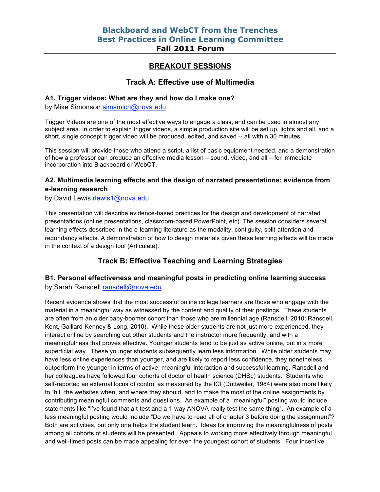# **BREAKOUT SESSIONS**

## **Track A: Effective use of Multimedia**

#### **A1. Trigger videos: What are they and how do I make one?**

by Mike Simonson simsmich@nova.edu

Trigger Videos are one of the most effective ways to engage a class, and can be used in almost any subject area. In order to explain trigger videos, a simple production site will be set up, lights and all, and a short, single concept trigger video will be produced, edited, and saved -- all within 30 minutes.

This session will provide those who attend a script, a list of basic equipment needed, and a demonstration of how a professor can produce an effective media lesson – sound, video, and all – for immediate incorporation into Blackboard or WebCT.

## **A2. Multimedia learning effects and the design of narrated presentations: evidence from e-learning research**

by David Lewis rlewis1@nova.edu

This presentation will describe evidence-based practices for the design and development of narrated presentations (online presentations, classroom-based PowerPoint, etc). The session considers several learning effects described in the e-learning literature as the modality, contiguity, split-attention and redundancy effects. A demonstration of how to design materials given these learning effects will be made in the context of a design tool (Articulate).

# **Track B: Effective Teaching and Learning Strategies**

## **B1. Personal effectiveness and meaningful posts in predicting online learning success** by Sarah Ransdell ransdell@nova.edu

Recent evidence shows that the most successful online college learners are those who engage with the material in a meaningful way as witnessed by the content and quality of their postings. These students are often from an older baby-boomer cohort than those who are millennial age (Ransdell, 2010; Ransdell, Kent, Gaillard-Kenney & Long, 2010). While these older students are not just more experienced, they interact online by searching out other students and the instructor more frequently, and with a meaningfulness that proves effective. Younger students tend to be just as active online, but in a more superficial way. These younger students subsequently learn less information. While older students may have less online experiences than younger, and are likely to report less confidence, they nonetheless outperform the younger in terms of active, meaningful interaction and successful learning. Ransdell and her colleagues have followed four cohorts of doctor of health science (DHSc) students. Students who self-reported an external locus of control as measured by the ICI (Duttweiler, 1984) were also more likely to "hit" the websites when, and where they should, and to make the most of the online assignments by contributing meaningful comments and questions. An example of a "meaningful" posting would include statements like "I've found that a t-test and a 1-way ANOVA really test the same thing". An example of a less meaningful posting would include "Do we have to read all of chapter 3 before doing the assignment"? Both are activities, but only one helps the student learn. Ideas for improving the meaningfulness of posts among all cohorts of students will be presented. Appeals to working more effectively through meaningful and well-timed posts can be made appealing for even the youngest cohort of students. Four incentive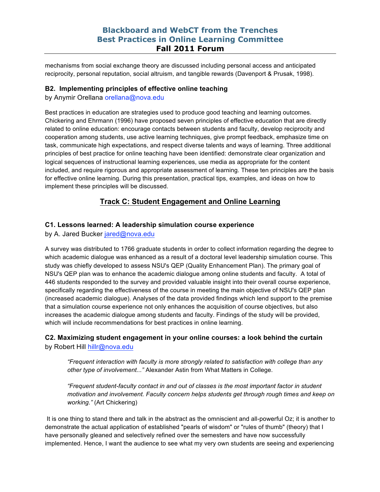## **Blackboard and WebCT from the Trenches Best Practices in Online Learning Committee Fall 2011 Forum**

mechanisms from social exchange theory are discussed including personal access and anticipated reciprocity, personal reputation, social altruism, and tangible rewards (Davenport & Prusak, 1998).

### **B2. Implementing principles of effective online teaching**

by Anymir Orellana orellana@nova.edu

Best practices in education are strategies used to produce good teaching and learning outcomes. Chickering and Ehrmann (1996) have proposed seven principles of effective education that are directly related to online education: encourage contacts between students and faculty, develop reciprocity and cooperation among students, use active learning techniques, give prompt feedback, emphasize time on task, communicate high expectations, and respect diverse talents and ways of learning. Three additional principles of best practice for online teaching have been identified: demonstrate clear organization and logical sequences of instructional learning experiences, use media as appropriate for the content included, and require rigorous and appropriate assessment of learning. These ten principles are the basis for effective online learning. During this presentation, practical tips, examples, and ideas on how to implement these principles will be discussed.

# **Track C: Student Engagement and Online Learning**

### **C1. Lessons learned: A leadership simulation course experience**

by A. Jared Bucker jared@nova.edu

A survey was distributed to 1766 graduate students in order to collect information regarding the degree to which academic dialogue was enhanced as a result of a doctoral level leadership simulation course. This study was chiefly developed to assess NSU's QEP (Quality Enhancement Plan). The primary goal of NSU's QEP plan was to enhance the academic dialogue among online students and faculty. A total of 446 students responded to the survey and provided valuable insight into their overall course experience, specifically regarding the effectiveness of the course in meeting the main objective of NSU's QEP plan (increased academic dialogue). Analyses of the data provided findings which lend support to the premise that a simulation course experience not only enhances the acquisition of course objectives, but also increases the academic dialogue among students and faculty. Findings of the study will be provided, which will include recommendations for best practices in online learning.

## **C2. Maximizing student engagement in your online courses: a look behind the curtain** by Robert Hill hillr@nova.edu

*"Frequent interaction with faculty is more strongly related to satisfaction with college than any other type of involvement..."* Alexander Astin from What Matters in College.

*"Frequent student-faculty contact in and out of classes is the most important factor in student motivation and involvement. Faculty concern helps students get through rough times and keep on working."* (Art Chickering)

It is one thing to stand there and talk in the abstract as the omniscient and all-powerful Oz; it is another to demonstrate the actual application of established "pearls of wisdom" or "rules of thumb" (theory) that I have personally gleaned and selectively refined over the semesters and have now successfully implemented. Hence, I want the audience to see what my very own students are seeing and experiencing